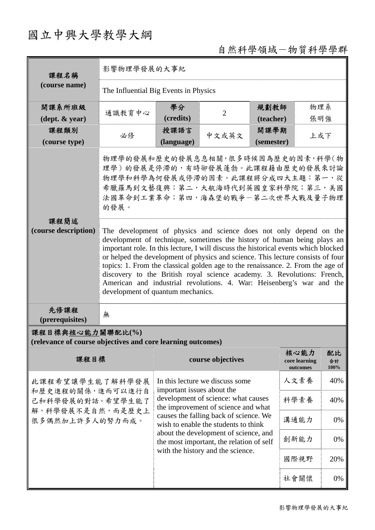# 國立中興大學教學大綱

## 自然科學領域-物質科學學群

| 課程名稱                                                                                           | 影響物理學發展的大事紀                                                                                                                                                                                                                                                                                                                                                                                                                                                                                                                                                                                                                                                                                                                                                 |                                                                                                                                             |                   |                    |                                   |                  |  |  |
|------------------------------------------------------------------------------------------------|-------------------------------------------------------------------------------------------------------------------------------------------------------------------------------------------------------------------------------------------------------------------------------------------------------------------------------------------------------------------------------------------------------------------------------------------------------------------------------------------------------------------------------------------------------------------------------------------------------------------------------------------------------------------------------------------------------------------------------------------------------------|---------------------------------------------------------------------------------------------------------------------------------------------|-------------------|--------------------|-----------------------------------|------------------|--|--|
| (course name)                                                                                  | The Influential Big Events in Physics                                                                                                                                                                                                                                                                                                                                                                                                                                                                                                                                                                                                                                                                                                                       |                                                                                                                                             |                   |                    |                                   |                  |  |  |
| 開課系所班級                                                                                         | 通識教育中心                                                                                                                                                                                                                                                                                                                                                                                                                                                                                                                                                                                                                                                                                                                                                      | 學分                                                                                                                                          | $\overline{2}$    | 規劃教師               | 物理系                               |                  |  |  |
| $(\text{dept.} \& \text{ year})$                                                               |                                                                                                                                                                                                                                                                                                                                                                                                                                                                                                                                                                                                                                                                                                                                                             | (credits)                                                                                                                                   | (teacher)         | 張明強                |                                   |                  |  |  |
| 課程類別<br>(course type)                                                                          | 必修                                                                                                                                                                                                                                                                                                                                                                                                                                                                                                                                                                                                                                                                                                                                                          | 授課語言<br>(language)                                                                                                                          | 中文或英文             | 開課學期<br>(semester) | 上或下                               |                  |  |  |
| 課程簡述<br>(course description)                                                                   | 物理學的發展和歷史的發展息息相關,很多時候因為歷史的因素,科學(物<br>理學)的發展是停滯的,有時卻發展蓬勃。此課程藉由歷史的發展來討論<br>物理學和科學為何發展或停滯的因素。此課程將分成四大主題:第一,從<br>希臘羅馬到文藝復興;第二,大航海時代到英國皇家科學院;第三,美國<br>法國革命到工業革命;第四,海森堡的戰爭一第二次世界大戰及量子物理<br>的發展。<br>The development of physics and science does not only depend on the<br>development of technique, sometimes the history of human being plays an<br>important role. In this lecture, I will discuss the historical events which blocked<br>or helped the development of physics and science. This lecture consists of four<br>topics: 1. From the classical golden age to the renaissance. 2. From the age of<br>discovery to the British royal science academy. 3. Revolutions: French,<br>American and industrial revolutions. 4. War: Heisenberg's war and the |                                                                                                                                             |                   |                    |                                   |                  |  |  |
| 先修課程<br>(prerequisites)                                                                        | development of quantum mechanics.<br>無                                                                                                                                                                                                                                                                                                                                                                                                                                                                                                                                                                                                                                                                                                                      |                                                                                                                                             |                   |                    |                                   |                  |  |  |
| 課程目標與核心能力關聯配比(%)<br>(relevance of course objectives and core learning outcomes)                |                                                                                                                                                                                                                                                                                                                                                                                                                                                                                                                                                                                                                                                                                                                                                             |                                                                                                                                             |                   |                    |                                   |                  |  |  |
| 課程目標                                                                                           |                                                                                                                                                                                                                                                                                                                                                                                                                                                                                                                                                                                                                                                                                                                                                             |                                                                                                                                             | course objectives |                    | 核心能力<br>core learning<br>outcomes | 配比<br>合計<br>100% |  |  |
| 此課程希望讓學生能了解科學發展<br>和歷史進程的關係,進而可以進行自<br>己和科學發展的對話。希望學生能了<br>解,科學發展不是自然,而是歷史上<br>很多偶然加上許多人的努力而成。 |                                                                                                                                                                                                                                                                                                                                                                                                                                                                                                                                                                                                                                                                                                                                                             | In this lecture we discuss some<br>important issues about the<br>development of science: what causes<br>the improvement of science and what |                   |                    | 人文素養                              | 40%              |  |  |
|                                                                                                |                                                                                                                                                                                                                                                                                                                                                                                                                                                                                                                                                                                                                                                                                                                                                             |                                                                                                                                             |                   |                    | 科學素養                              | 40%              |  |  |
|                                                                                                |                                                                                                                                                                                                                                                                                                                                                                                                                                                                                                                                                                                                                                                                                                                                                             | causes the falling back of science. We<br>wish to enable the students to think                                                              |                   | 溝通能力               | 0%                                |                  |  |  |
|                                                                                                |                                                                                                                                                                                                                                                                                                                                                                                                                                                                                                                                                                                                                                                                                                                                                             | about the development of science, and<br>the most important, the relation of self<br>with the history and the science.                      |                   |                    | 創新能力                              | 0%               |  |  |
|                                                                                                |                                                                                                                                                                                                                                                                                                                                                                                                                                                                                                                                                                                                                                                                                                                                                             |                                                                                                                                             |                   |                    | 國際視野                              | 20%              |  |  |
|                                                                                                |                                                                                                                                                                                                                                                                                                                                                                                                                                                                                                                                                                                                                                                                                                                                                             |                                                                                                                                             |                   |                    | 社會關懷                              | 0%               |  |  |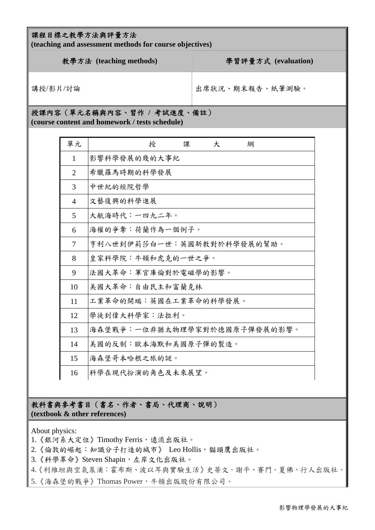| 課程目標之教學方法與評量方法<br>(teaching and assessment methods for course objectives)    |                |                              |                     |  |  |  |  |
|------------------------------------------------------------------------------|----------------|------------------------------|---------------------|--|--|--|--|
| 教學方法 (teaching methods)                                                      |                |                              | 學習評量方式 (evaluation) |  |  |  |  |
| 講授/影片/討論                                                                     |                |                              | 出席狀況、期末報告、紙筆測驗。     |  |  |  |  |
| 授課內容(單元名稱與內容、習作 / 考試進度、備註)<br>(course content and homework / tests schedule) |                |                              |                     |  |  |  |  |
|                                                                              | 單元             | 授<br>課                       | 大<br>綱              |  |  |  |  |
|                                                                              | 1              | 影響科學發展的幾的大事紀                 |                     |  |  |  |  |
|                                                                              | $\overline{2}$ | 希臘羅馬時期的科學發展                  |                     |  |  |  |  |
|                                                                              | 3              | 中世紀的經院哲學                     |                     |  |  |  |  |
|                                                                              | 4              | 文藝復興的科學進展                    |                     |  |  |  |  |
|                                                                              | 5              | 大航海時代:一四九二年。                 |                     |  |  |  |  |
|                                                                              | 6              | 海權的爭奪:荷蘭作為一個例子。              |                     |  |  |  |  |
|                                                                              | $\overline{7}$ | 亨利八世到伊莉莎白一世:英國新教對於科學發展的幫助。   |                     |  |  |  |  |
|                                                                              | 8              | 皇家科學院:牛頓和虎克的一世之爭。            |                     |  |  |  |  |
|                                                                              | 9              | 法國大革命:軍官庫倫對於電磁學的影響。          |                     |  |  |  |  |
|                                                                              | 10             | 美國大革命:自由民主和富蘭克林              |                     |  |  |  |  |
|                                                                              | 11             | 工業革命的開端:英國在工業革命的科學發展。        |                     |  |  |  |  |
|                                                                              | 12             | 學徒到偉大科學家:法拉利。                |                     |  |  |  |  |
|                                                                              | 13             | 海森堡戰爭:一位非猶太物理學家對於德國原子彈發展的影響。 |                     |  |  |  |  |
|                                                                              | 14             | 美國的反制:歐本海默和美國原子彈的製造。         |                     |  |  |  |  |
|                                                                              | 15             | 海森堡哥本哈根之旅的謎。                 |                     |  |  |  |  |
|                                                                              | 16             | 科學在現代扮演的角色及未來展望。             |                     |  |  |  |  |

#### 教科書與參考書目(書名、作者、書局、代理商、說明) **(textbook & other references)**

About physics:

- 1. 《銀河系大定位》Timothy Ferris, 遠流出版社。
- 2.《倫敦的崛起:知識分子打造的城市》 Leo Hollis, 貓頭鷹出版社。
- 3. 《科學革命》Steven Shapin, 左岸文化出版社。
- 4.《利維坦與空氣泵浦:霍布斯、波以耳與實驗生活》史蒂文.謝平、賽門.夏佛,行人出版社。
- 5. 《海森堡的戰爭》Thomas Power, 牛頓出版股份有限公司。